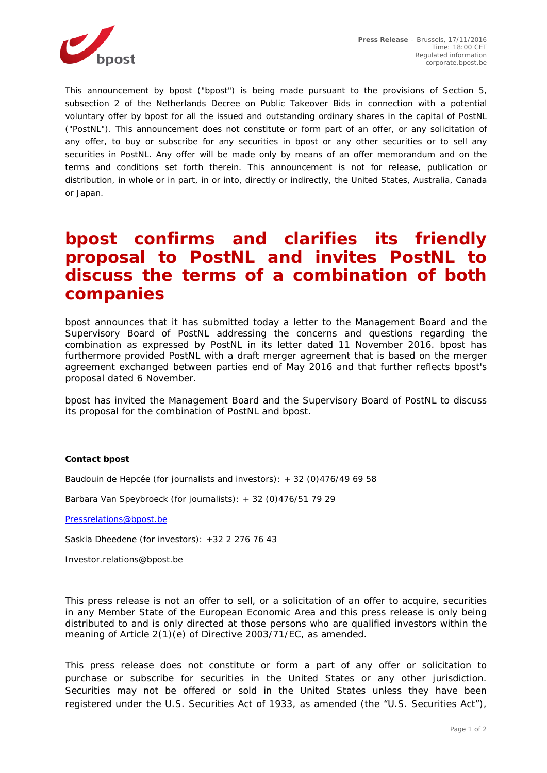

*This announcement by bpost ("bpost") is being made pursuant to the provisions of Section 5, subsection 2 of the Netherlands Decree on Public Takeover Bids in connection with a potential voluntary offer by bpost for all the issued and outstanding ordinary shares in the capital of PostNL ("PostNL"). This announcement does not constitute or form part of an offer, or any solicitation of any offer, to buy or subscribe for any securities in bpost or any other securities or to sell any securities in PostNL. Any offer will be made only by means of an offer memorandum and on the terms and conditions set forth therein. This announcement is not for release, publication or distribution, in whole or in part, in or into, directly or indirectly, the United States, Australia, Canada or Japan.*

## **bpost confirms and clarifies its friendly proposal to PostNL and invites PostNL to discuss the terms of a combination of both companies**

bpost announces that it has submitted today a letter to the Management Board and the Supervisory Board of PostNL addressing the concerns and questions regarding the combination as expressed by PostNL in its letter dated 11 November 2016. bpost has furthermore provided PostNL with a draft merger agreement that is based on the merger agreement exchanged between parties end of May 2016 and that further reflects bpost's proposal dated 6 November.

bpost has invited the Management Board and the Supervisory Board of PostNL to discuss its proposal for the combination of PostNL and bpost.

## **Contact bpost**

Baudouin de Hepcée (for journalists and investors): + 32 (0)476/49 69 58

Barbara Van Speybroeck (for journalists): + 32 (0)476/51 79 29

[Pressrelations@bpost.be](mailto:Pressrelations@bpost.be)

Saskia Dheedene (for investors): +32 2 276 76 43

Investor.relations@bpost.be

*This press release is not an offer to sell, or a solicitation of an offer to acquire, securities in any Member State of the European Economic Area and this press release is only being distributed to and is only directed at those persons who are qualified investors within the meaning of Article 2(1)(e) of Directive 2003/71/EC, as amended.* 

*This press release does not constitute or form a part of any offer or solicitation to purchase or subscribe for securities in the United States or any other jurisdiction. Securities may not be offered or sold in the United States unless they have been registered under the U.S. Securities Act of 1933, as amended (the "U.S. Securities Act"),*